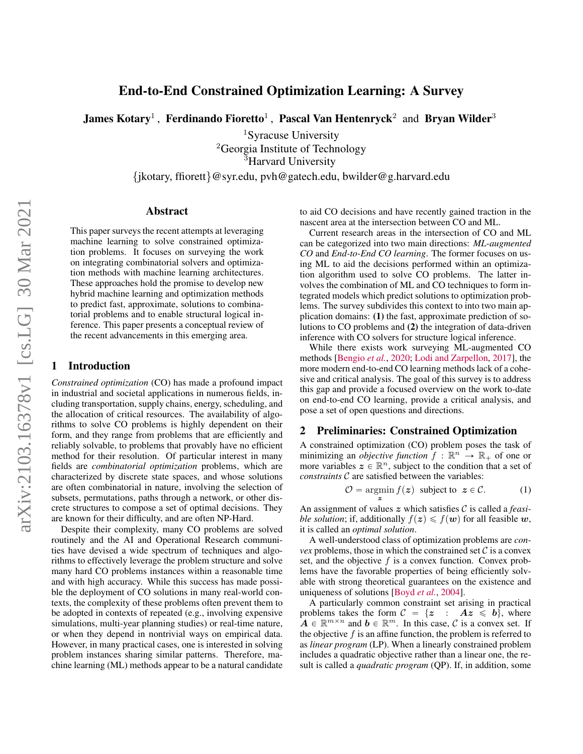# End-to-End Constrained Optimization Learning: A Survey

James Kotary<sup>1</sup> , Ferdinando Fioretto<sup>1</sup> , Pascal Van Hentenryck<sup>2</sup> and Bryan Wilder<sup>3</sup>

<sup>1</sup>Syracuse University <sup>2</sup>Georgia Institute of Technology <sup>3</sup>Harvard University

{jkotary, ffiorett}@syr.edu, pvh@gatech.edu, bwilder@g.harvard.edu

### Abstract

This paper surveys the recent attempts at leveraging machine learning to solve constrained optimization problems. It focuses on surveying the work on integrating combinatorial solvers and optimization methods with machine learning architectures. These approaches hold the promise to develop new hybrid machine learning and optimization methods to predict fast, approximate, solutions to combinatorial problems and to enable structural logical inference. This paper presents a conceptual review of the recent advancements in this emerging area.

## 1 Introduction

*Constrained optimization* (CO) has made a profound impact in industrial and societal applications in numerous fields, including transportation, supply chains, energy, scheduling, and the allocation of critical resources. The availability of algorithms to solve CO problems is highly dependent on their form, and they range from problems that are efficiently and reliably solvable, to problems that provably have no efficient method for their resolution. Of particular interest in many fields are *combinatorial optimization* problems, which are characterized by discrete state spaces, and whose solutions are often combinatorial in nature, involving the selection of subsets, permutations, paths through a network, or other discrete structures to compose a set of optimal decisions. They are known for their difficulty, and are often NP-Hard.

Despite their complexity, many CO problems are solved routinely and the AI and Operational Research communities have devised a wide spectrum of techniques and algorithms to effectively leverage the problem structure and solve many hard CO problems instances within a reasonable time and with high accuracy. While this success has made possible the deployment of CO solutions in many real-world contexts, the complexity of these problems often prevent them to be adopted in contexts of repeated (e.g., involving expensive simulations, multi-year planning studies) or real-time nature, or when they depend in nontrivial ways on empirical data. However, in many practical cases, one is interested in solving problem instances sharing similar patterns. Therefore, machine learning (ML) methods appear to be a natural candidate to aid CO decisions and have recently gained traction in the nascent area at the intersection between CO and ML.

Current research areas in the intersection of CO and ML can be categorized into two main directions: *ML-augmented CO* and *End-to-End CO learning*. The former focuses on using ML to aid the decisions performed within an optimization algorithm used to solve CO problems. The latter involves the combination of ML and CO techniques to form integrated models which predict solutions to optimization problems. The survey subdivides this context to into two main application domains: (1) the fast, approximate prediction of solutions to CO problems and (2) the integration of data-driven inference with CO solvers for structure logical inference.

While there exists work surveying ML-augmented CO methods [\[Bengio](#page-8-0) *et al.*, [2020;](#page-8-0) [Lodi and Zarpellon,](#page-9-0) [2017\]](#page-9-0), the more modern end-to-end CO learning methods lack of a cohesive and critical analysis. The goal of this survey is to address this gap and provide a focused overview on the work to-date on end-to-end CO learning, provide a critical analysis, and pose a set of open questions and directions.

### 2 Preliminaries: Constrained Optimization

A constrained optimization (CO) problem poses the task of minimizing an *objective function*  $f : \mathbb{R}^n \to \mathbb{R}_+$  of one or more variables  $z \in \mathbb{R}^n$ , subject to the condition that a set of *constraints* C are satisfied between the variables:

$$
O = \underset{z}{\operatorname{argmin}} f(z) \text{ subject to } z \in C. \tag{1}
$$

An assignment of values z which satisfies C is called a *feasible solution*; if, additionally  $f(z) \leq f(w)$  for all feasible w, it is called an *optimal solution*.

A well-understood class of optimization problems are *convex* problems, those in which the constrained set  $\mathcal C$  is a convex set, and the objective  $f$  is a convex function. Convex problems have the favorable properties of being efficiently solvable with strong theoretical guarantees on the existence and uniqueness of solutions [\[Boyd](#page-8-1) *et al.*, [2004\]](#page-8-1).

A particularly common constraint set arising in practical problems takes the form  $C = \{z : Az \leq b\}$ , where  $A \in \mathbb{R}^{m \times n}$  and  $b \in \mathbb{R}^m$ . In this case, C is a convex set. If the objective  $f$  is an affine function, the problem is referred to as *linear program* (LP). When a linearly constrained problem includes a quadratic objective rather than a linear one, the result is called a *quadratic program* (QP). If, in addition, some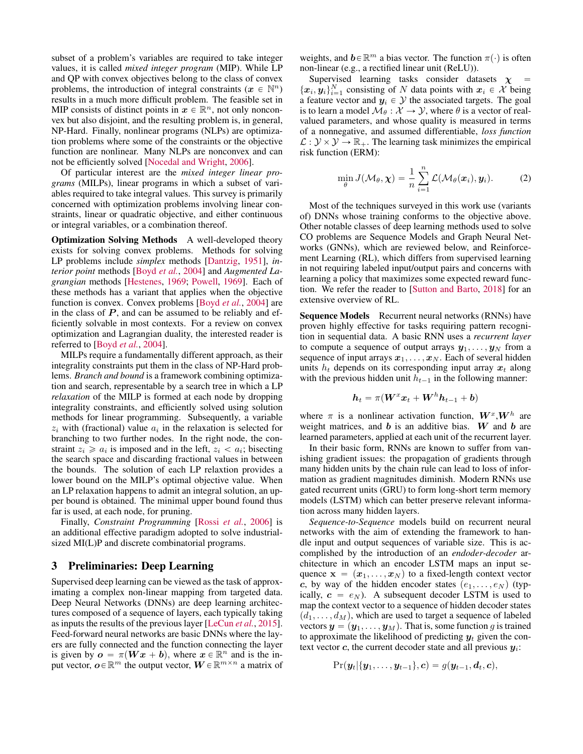subset of a problem's variables are required to take integer values, it is called *mixed integer program* (MIP). While LP and QP with convex objectives belong to the class of convex problems, the introduction of integral constraints ( $x \in \mathbb{N}^n$ ) results in a much more difficult problem. The feasible set in MIP consists of distinct points in  $x \in \mathbb{R}^n$ , not only nonconvex but also disjoint, and the resulting problem is, in general, NP-Hard. Finally, nonlinear programs (NLPs) are optimization problems where some of the constraints or the objective function are nonlinear. Many NLPs are nonconvex and can not be efficiently solved [\[Nocedal and Wright,](#page-9-1) [2006\]](#page-9-1).

Of particular interest are the *mixed integer linear programs* (MILPs), linear programs in which a subset of variables required to take integral values. This survey is primarily concerned with optimization problems involving linear constraints, linear or quadratic objective, and either continuous or integral variables, or a combination thereof.

Optimization Solving Methods A well-developed theory exists for solving convex problems. Methods for solving LP problems include *simplex* methods [\[Dantzig,](#page-8-2) [1951\]](#page-8-2), *interior point* methods [\[Boyd](#page-8-1) *et al.*, [2004\]](#page-8-1) and *Augmented Lagrangian* methods [\[Hestenes,](#page-8-3) [1969;](#page-8-3) [Powell,](#page-9-2) [1969\]](#page-9-2). Each of these methods has a variant that applies when the objective function is convex. Convex problems [\[Boyd](#page-8-1) *et al.*, [2004\]](#page-8-1) are in the class of  $P$ , and can be assumed to be reliably and efficiently solvable in most contexts. For a review on convex optimization and Lagrangian duality, the interested reader is referred to [\[Boyd](#page-8-1) *et al.*, [2004\]](#page-8-1).

MILPs require a fundamentally different approach, as their integrality constraints put them in the class of NP-Hard problems. *Branch and bound* is a framework combining optimization and search, representable by a search tree in which a LP *relaxation* of the MILP is formed at each node by dropping integrality constraints, and efficiently solved using solution methods for linear programming. Subsequently, a variable  $z_i$  with (fractional) value  $a_i$  in the relaxation is selected for branching to two further nodes. In the right node, the constraint  $z_i \geq a_i$  is imposed and in the left,  $z_i < a_i$ ; bisecting the search space and discarding fractional values in between the bounds. The solution of each LP relaxtion provides a lower bound on the MILP's optimal objective value. When an LP relaxation happens to admit an integral solution, an upper bound is obtained. The minimal upper bound found thus far is used, at each node, for pruning.

Finally, *Constraint Programming* [\[Rossi](#page-9-3) *et al.*, [2006\]](#page-9-3) is an additional effective paradigm adopted to solve industrialsized MI(L)P and discrete combinatorial programs.

### 3 Preliminaries: Deep Learning

Supervised deep learning can be viewed as the task of approximating a complex non-linear mapping from targeted data. Deep Neural Networks (DNNs) are deep learning architectures composed of a sequence of layers, each typically taking as inputs the results of the previous layer [\[LeCun](#page-9-4) *et al.*, [2015\]](#page-9-4). Feed-forward neural networks are basic DNNs where the layers are fully connected and the function connecting the layer is given by  $o = \pi(Wx + b)$ , where  $x \in \mathbb{R}^n$  and is the input vector,  $o \in \mathbb{R}^m$  the output vector,  $W \in \mathbb{R}^{m \times n}$  a matrix of

weights, and  $\mathbf{b} \in \mathbb{R}^m$  a bias vector. The function  $\pi(\cdot)$  is often non-linear (e.g., a rectified linear unit (ReLU)).

Supervised learning tasks consider datasets  $\chi$  =  $\{\boldsymbol{x}_i, \boldsymbol{y}_i\}_{i=1}^N$  consisting of N data points with  $\boldsymbol{x}_i \in \mathcal{X}$  being a feature vector and  $y_i \in \mathcal{Y}$  the associated targets. The goal is to learn a model  $\mathcal{M}_{\theta} : \mathcal{X} \to \mathcal{Y}$ , where  $\theta$  is a vector of realvalued parameters, and whose quality is measured in terms of a nonnegative, and assumed differentiable, *loss function*  $\mathcal{L}: \mathcal{Y} \times \mathcal{Y} \to \mathbb{R}_+$ . The learning task minimizes the empirical risk function (ERM):

<span id="page-1-0"></span>
$$
\min_{\theta} J(\mathcal{M}_{\theta}, \boldsymbol{\chi}) = \frac{1}{n} \sum_{i=1}^{n} \mathcal{L}(\mathcal{M}_{\theta}(\boldsymbol{x}_i), \boldsymbol{y}_i).
$$
 (2)

Most of the techniques surveyed in this work use (variants of) DNNs whose training conforms to the objective above. Other notable classes of deep learning methods used to solve CO problems are Sequence Models and Graph Neural Networks (GNNs), which are reviewed below, and Reinforcement Learning (RL), which differs from supervised learning in not requiring labeled input/output pairs and concerns with learning a policy that maximizes some expected reward function. We refer the reader to [\[Sutton and Barto,](#page-9-5) [2018\]](#page-9-5) for an extensive overview of RL.

Sequence Models Recurrent neural networks (RNNs) have proven highly effective for tasks requiring pattern recognition in sequential data. A basic RNN uses a *recurrent layer* to compute a sequence of output arrays  $y_1, \ldots, y_N$  from a sequence of input arrays  $x_1, \ldots, x_N$ . Each of several hidden units  $h_t$  depends on its corresponding input array  $x_t$  along with the previous hidden unit  $h_{t-1}$  in the following manner:

$$
\boldsymbol{h}_t = \pi(\boldsymbol{W}^x\boldsymbol{x}_t + \boldsymbol{W}^h\boldsymbol{h}_{t-1} + \boldsymbol{b})
$$

where  $\pi$  is a nonlinear activation function,  $W^x, W^h$  are weight matrices, and  $b$  is an additive bias.  $W$  and  $b$  are learned parameters, applied at each unit of the recurrent layer.

In their basic form, RNNs are known to suffer from vanishing gradient issues: the propagation of gradients through many hidden units by the chain rule can lead to loss of information as gradient magnitudes diminish. Modern RNNs use gated recurrent units (GRU) to form long-short term memory models (LSTM) which can better preserve relevant information across many hidden layers.

*Sequence-to-Sequence* models build on recurrent neural networks with the aim of extending the framework to handle input and output sequences of variable size. This is accomplished by the introduction of an *endoder-decoder* architecture in which an encoder LSTM maps an input sequence  $\mathbf{x} = (\mathbf{x}_1, \dots, \mathbf{x}_N)$  to a fixed-length context vector c, by way of the hidden encoder states  $(e_1, \ldots, e_N)$  (typically,  $c = e_N$ ). A subsequent decoder LSTM is used to map the context vector to a sequence of hidden decoder states  $(d_1, \ldots, d_M)$ , which are used to target a sequence of labeled vectors  $y = (y_1, \ldots, y_M)$ . That is, some function g is trained to approximate the likelihood of predicting  $y_t$  given the context vector  $c$ , the current decoder state and all previous  $y_i$ :

$$
\Pr(\boldsymbol{y}_t | \{ \boldsymbol{y}_1, \dots, \boldsymbol{y}_{t-1} \}, \boldsymbol{c}) = g(\boldsymbol{y}_{t-1}, \boldsymbol{d}_t, \boldsymbol{c}),
$$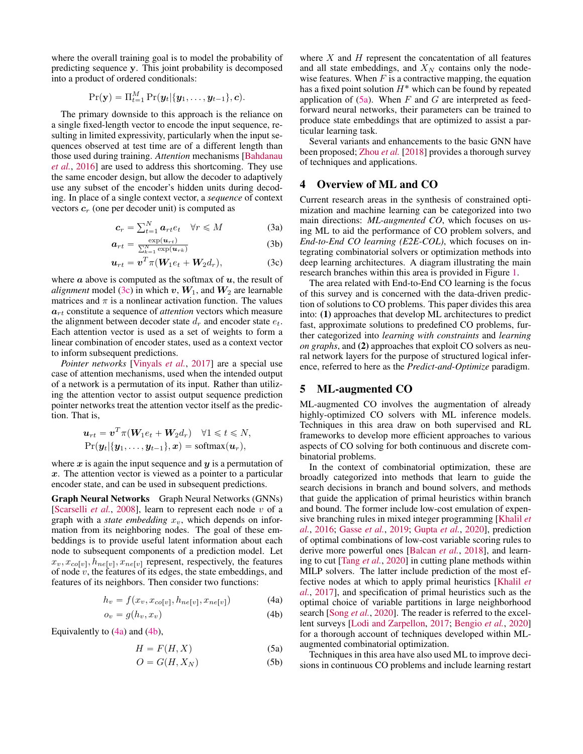where the overall training goal is to model the probability of predicting sequence y. This joint probability is decomposed into a product of ordered conditionals:

$$
\Pr(\mathbf{y}) = \Pi_{t=1}^M \Pr(\mathbf{y}_t | \{\mathbf{y}_1, \dots, \mathbf{y}_{t-1}\}, \mathbf{c}).
$$

The primary downside to this approach is the reliance on a single fixed-length vector to encode the input sequence, resulting in limited expressivity, particularly when the input sequences observed at test time are of a different length than those used during training. *Attention* mechanisms [\[Bahdanau](#page-8-4) *[et al.](#page-8-4)*, [2016\]](#page-8-4) are used to address this shortcoming. They use the same encoder design, but allow the decoder to adaptively use any subset of the encoder's hidden units during decoding. In place of a single context vector, a *sequence* of context vectors  $c_r$  (one per decoder unit) is computed as

$$
c_r = \sum_{t=1}^{N} a_{rt} e_t \quad \forall r \leq M \tag{3a}
$$

$$
a_{rt} = \frac{\exp(u_{rt})}{\sum_{k=1}^{N} \exp(u_{rk})}
$$
(3b)

$$
\boldsymbol{u}_{rt} = \boldsymbol{v}^T \pi (\boldsymbol{W}_1 e_t + \boldsymbol{W}_2 d_r), \tag{3c}
$$

where  $\alpha$  above is computed as the softmax of  $u$ , the result of *alignment* model [\(3c\)](#page-2-0) in which v,  $W_1$ , and  $W_2$  are learnable matrices and  $\pi$  is a nonlinear activation function. The values  $a_{rt}$  constitute a sequence of *attention* vectors which measure the alignment between decoder state  $d_r$  and encoder state  $e_t$ . Each attention vector is used as a set of weights to form a linear combination of encoder states, used as a context vector to inform subsequent predictions.

*Pointer networks* [\[Vinyals](#page-9-6) *et al.*, [2017\]](#page-9-6) are a special use case of attention mechanisms, used when the intended output of a network is a permutation of its input. Rather than utilizing the attention vector to assist output sequence prediction pointer networks treat the attention vector itself as the prediction. That is,

$$
\boldsymbol{u}_{rt} = \boldsymbol{v}^T \pi(\boldsymbol{W}_1 e_t + \boldsymbol{W}_2 d_r) \quad \forall 1 \leq t \leq N,
$$
  
\n
$$
\Pr(\boldsymbol{y}_t | \{\boldsymbol{y}_1, \dots, \boldsymbol{y}_{t-1}\}, \boldsymbol{x}) = \text{softmax}(\boldsymbol{u}_r),
$$

where  $x$  is again the input sequence and  $y$  is a permutation of  $x$ . The attention vector is viewed as a pointer to a particular encoder state, and can be used in subsequent predictions.

Graph Neural Networks Graph Neural Networks (GNNs) [\[Scarselli](#page-9-7) *et al.*, [2008\]](#page-9-7), learn to represent each node v of a graph with a *state embedding*  $x<sub>v</sub>$ , which depends on information from its neighboring nodes. The goal of these embeddings is to provide useful latent information about each node to subsequent components of a prediction model. Let  $x_v, x_{co[v]}, h_{ne[v]}, x_{ne[v]}$  represent, respectively, the features of node  $v$ , the features of its edges, the state embeddings, and features of its neighbors. Then consider two functions:

$$
h_v = f(x_v, x_{co[v]}, h_{ne[v]}, x_{ne[v]})
$$
 (4a)

$$
o_v = g(h_v, x_v) \tag{4b}
$$

Equivalently to  $(4a)$  and  $(4b)$ ,

$$
H = F(H, X) \tag{5a}
$$

$$
O = G(H, X_N) \tag{5b}
$$

where  $X$  and  $H$  represent the concatentation of all features and all state embeddings, and  $X_N$  contains only the nodewise features. When  $F$  is a contractive mapping, the equation has a fixed point solution  $H^*$  which can be found by repeated application of  $(5a)$ . When F and G are interpreted as feedforward neural networks, their parameters can be trained to produce state embeddings that are optimized to assist a particular learning task.

Several variants and enhancements to the basic GNN have been proposed; [Zhou](#page-9-8) *et al.* [\[2018\]](#page-9-8) provides a thorough survey of techniques and applications.

### 4 Overview of ML and CO

<span id="page-2-1"></span><span id="page-2-0"></span>Current research areas in the synthesis of constrained optimization and machine learning can be categorized into two main directions: *ML-augmented CO*, which focuses on using ML to aid the performance of CO problem solvers, and *End-to-End CO learning (E2E-COL)*, which focuses on integrating combinatorial solvers or optimization methods into deep learning architectures. A diagram illustrating the main research branches within this area is provided in Figure [1.](#page-3-0)

The area related with End-to-End CO learning is the focus of this survey and is concerned with the data-driven prediction of solutions to CO problems. This paper divides this area into: (1) approaches that develop ML architectures to predict fast, approximate solutions to predefined CO problems, further categorized into *learning with constraints* and *learning on graphs*, and (2) approaches that exploit CO solvers as neural network layers for the purpose of structured logical inference, referred to here as the *Predict-and-Optimize* paradigm.

### 5 ML-augmented CO

ML-augmented CO involves the augmentation of already highly-optimized CO solvers with ML inference models. Techniques in this area draw on both supervised and RL frameworks to develop more efficient approaches to various aspects of CO solving for both continuous and discrete combinatorial problems.

In the context of combinatorial optimization, these are broadly categorized into methods that learn to guide the search decisions in branch and bound solvers, and methods that guide the application of primal heuristics within branch and bound. The former include low-cost emulation of expensive branching rules in mixed integer programming [\[Khalil](#page-8-5) *et [al.](#page-8-5)*, [2016;](#page-8-5) [Gasse](#page-8-6) *et al.*, [2019;](#page-8-6) [Gupta](#page-8-7) *et al.*, [2020\]](#page-8-7), prediction of optimal combinations of low-cost variable scoring rules to derive more powerful ones [\[Balcan](#page-8-8) *et al.*, [2018\]](#page-8-8), and learning to cut [\[Tang](#page-9-9) *et al.*, [2020\]](#page-9-9) in cutting plane methods within MILP solvers. The latter include prediction of the most effective nodes at which to apply primal heuristics [\[Khalil](#page-8-9) *et [al.](#page-8-9)*, [2017\]](#page-8-9), and specification of primal heuristics such as the optimal choice of variable partitions in large neighborhood search [\[Song](#page-9-10) *et al.*, [2020\]](#page-9-10). The reader is referred to the excellent surveys [\[Lodi and Zarpellon,](#page-9-0) [2017;](#page-9-0) [Bengio](#page-8-0) *et al.*, [2020\]](#page-8-0) for a thorough account of techniques developed within MLaugmented combinatorial optimization.

Techniques in this area have also used ML to improve decisions in continuous CO problems and include learning restart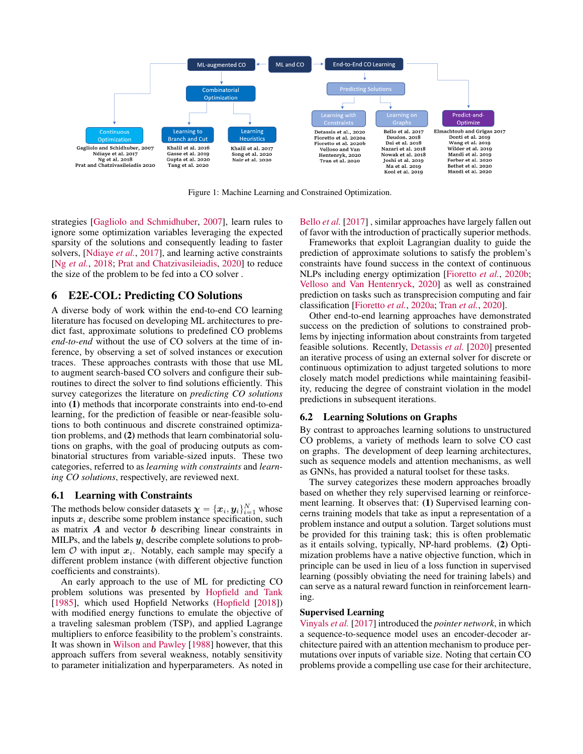<span id="page-3-0"></span>

Figure 1: Machine Learning and Constrained Optimization.

strategies [\[Gagliolo and Schmidhuber,](#page-8-10) [2007\]](#page-8-10), learn rules to ignore some optimization variables leveraging the expected sparsity of the solutions and consequently leading to faster solvers, [\[Ndiaye](#page-9-11) *et al.*, [2017\]](#page-9-11), and learning active constraints [Ng *[et al.](#page-9-12)*, [2018;](#page-9-12) [Prat and Chatzivasileiadis,](#page-9-13) [2020\]](#page-9-13) to reduce the size of the problem to be fed into a CO solver .

### 6 E2E-COL: Predicting CO Solutions

A diverse body of work within the end-to-end CO learning literature has focused on developing ML architectures to predict fast, approximate solutions to predefined CO problems *end-to-end* without the use of CO solvers at the time of inference, by observing a set of solved instances or execution traces. These approaches contrasts with those that use ML to augment search-based CO solvers and configure their subroutines to direct the solver to find solutions efficiently. This survey categorizes the literature on *predicting CO solutions* into (1) methods that incorporate constraints into end-to-end learning, for the prediction of feasible or near-feasible solutions to both continuous and discrete constrained optimization problems, and (2) methods that learn combinatorial solutions on graphs, with the goal of producing outputs as combinatorial structures from variable-sized inputs. These two categories, referred to as *learning with constraints* and *learning CO solutions*, respectively, are reviewed next.

#### 6.1 Learning with Constraints

The methods below consider datasets  $\boldsymbol{\chi} = \{\boldsymbol{x}_i, \boldsymbol{y}_i\}_{i=1}^N$  whose inputs  $x_i$  describe some problem instance specification, such as matrix  $\boldsymbol{A}$  and vector  $\boldsymbol{b}$  describing linear constraints in MILPs, and the labels  $y_i$  describe complete solutions to problem  $O$  with input  $x_i$ . Notably, each sample may specify a different problem instance (with different objective function coefficients and constraints).

An early approach to the use of ML for predicting CO problem solutions was presented by [Hopfield and Tank](#page-8-11) [\[1985\]](#page-8-11), which used Hopfield Networks [\(Hopfield](#page-8-12) [\[2018\]](#page-8-12)) with modified energy functions to emulate the objective of a traveling salesman problem (TSP), and applied Lagrange multipliers to enforce feasibility to the problem's constraints. It was shown in [Wilson and Pawley](#page-9-14) [\[1988\]](#page-9-14) however, that this approach suffers from several weakness, notably sensitivity to parameter initialization and hyperparameters. As noted in [Bello](#page-8-13) *et al.* [\[2017\]](#page-8-13) , similar approaches have largely fallen out of favor with the introduction of practically superior methods.

Frameworks that exploit Lagrangian duality to guide the prediction of approximate solutions to satisfy the problem's constraints have found success in the context of continuous NLPs including energy optimization [\[Fioretto](#page-8-14) *et al.*, [2020b;](#page-8-14) [Velloso and Van Hentenryck,](#page-9-15) [2020\]](#page-9-15) as well as constrained prediction on tasks such as transprecision computing and fair classification [\[Fioretto](#page-8-15) *et al.*, [2020a;](#page-8-15) Tran *[et al.](#page-9-16)*, [2020\]](#page-9-16).

Other end-to-end learning approaches have demonstrated success on the prediction of solutions to constrained problems by injecting information about constraints from targeted feasible solutions. Recently, [Detassis](#page-8-16) *et al.* [\[2020\]](#page-8-16) presented an iterative process of using an external solver for discrete or continuous optimization to adjust targeted solutions to more closely match model predictions while maintaining feasibility, reducing the degree of constraint violation in the model predictions in subsequent iterations.

### 6.2 Learning Solutions on Graphs

By contrast to approaches learning solutions to unstructured CO problems, a variety of methods learn to solve CO cast on graphs. The development of deep learning architectures, such as sequence models and attention mechanisms, as well as GNNs, has provided a natural toolset for these tasks.

The survey categorizes these modern approaches broadly based on whether they rely supervised learning or reinforcement learning. It observes that: (1) Supervised learning concerns training models that take as input a representation of a problem instance and output a solution. Target solutions must be provided for this training task; this is often problematic as it entails solving, typically, NP-hard problems. (2) Optimization problems have a native objective function, which in principle can be used in lieu of a loss function in supervised learning (possibly obviating the need for training labels) and can serve as a natural reward function in reinforcement learning.

#### Supervised Learning

[Vinyals](#page-9-6) *et al.* [\[2017\]](#page-9-6) introduced the *pointer network*, in which a sequence-to-sequence model uses an encoder-decoder architecture paired with an attention mechanism to produce permutations over inputs of variable size. Noting that certain CO problems provide a compelling use case for their architecture,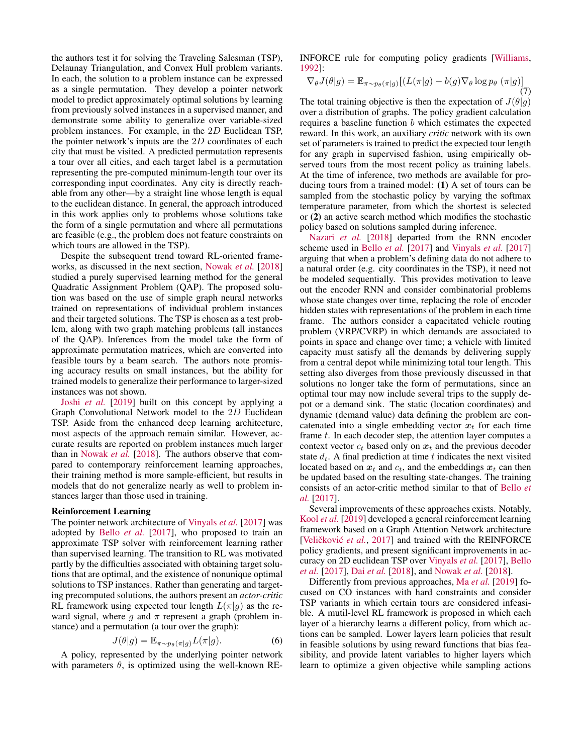the authors test it for solving the Traveling Salesman (TSP), Delaunay Triangulation, and Convex Hull problem variants. In each, the solution to a problem instance can be expressed as a single permutation. They develop a pointer network model to predict approximately optimal solutions by learning from previously solved instances in a supervised manner, and demonstrate some ability to generalize over variable-sized problem instances. For example, in the 2D Euclidean TSP, the pointer network's inputs are the 2D coordinates of each city that must be visited. A predicted permutation represents a tour over all cities, and each target label is a permutation representing the pre-computed minimum-length tour over its corresponding input coordinates. Any city is directly reachable from any other—by a straight line whose length is equal to the euclidean distance. In general, the approach introduced in this work applies only to problems whose solutions take the form of a single permutation and where all permutations are feasible (e.g., the problem does not feature constraints on which tours are allowed in the TSP).

Despite the subsequent trend toward RL-oriented frameworks, as discussed in the next section, [Nowak](#page-9-17) *et al.* [\[2018\]](#page-9-17) studied a purely supervised learning method for the general Quadratic Assignment Problem (QAP). The proposed solution was based on the use of simple graph neural networks trained on representations of individual problem instances and their targeted solutions. The TSP is chosen as a test problem, along with two graph matching problems (all instances of the QAP). Inferences from the model take the form of approximate permutation matrices, which are converted into feasible tours by a beam search. The authors note promising accuracy results on small instances, but the ability for trained models to generalize their performance to larger-sized instances was not shown.

Joshi *[et al.](#page-8-17)* [\[2019\]](#page-8-17) built on this concept by applying a Graph Convolutional Network model to the 2D Euclidean TSP. Aside from the enhanced deep learning architecture, most aspects of the approach remain similar. However, accurate results are reported on problem instances much larger than in [Nowak](#page-9-17) *et al.* [\[2018\]](#page-9-17). The authors observe that compared to contemporary reinforcement learning approaches, their training method is more sample-efficient, but results in models that do not generalize nearly as well to problem instances larger than those used in training.

#### Reinforcement Learning

The pointer network architecture of [Vinyals](#page-9-6) *et al.* [\[2017\]](#page-9-6) was adopted by Bello *[et al.](#page-8-13)* [\[2017\]](#page-8-13), who proposed to train an approximate TSP solver with reinforcement learning rather than supervised learning. The transition to RL was motivated partly by the difficulties associated with obtaining target solutions that are optimal, and the existence of nonunique optimal solutions to TSP instances. Rather than generating and targeting precomputed solutions, the authors present an *actor-critic* RL framework using expected tour length  $L(\pi|g)$  as the reward signal, where g and  $\pi$  represent a graph (problem instance) and a permutation (a tour over the graph):

$$
J(\theta|g) = \mathbb{E}_{\pi \sim p_{\theta}(\pi|g)} L(\pi|g). \tag{6}
$$

A policy, represented by the underlying pointer network with parameters  $\theta$ , is optimized using the well-known RE- INFORCE rule for computing policy gradients [\[Williams,](#page-9-18) [1992\]](#page-9-18):

$$
\nabla_{\theta} J(\theta|g) = \mathbb{E}_{\pi \sim p_{\theta}(\pi|g)} \left[ (L(\pi|g) - b(g)\nabla_{\theta} \log p_{\theta} (\pi|g)) \right]
$$
\n(7)

The total training objective is then the expectation of  $J(\theta|q)$ over a distribution of graphs. The policy gradient calculation requires a baseline function b which estimates the expected reward. In this work, an auxiliary *critic* network with its own set of parameters is trained to predict the expected tour length for any graph in supervised fashion, using empirically observed tours from the most recent policy as training labels. At the time of inference, two methods are available for producing tours from a trained model: (1) A set of tours can be sampled from the stochastic policy by varying the softmax temperature parameter, from which the shortest is selected or (2) an active search method which modifies the stochastic policy based on solutions sampled during inference.

[Nazari](#page-9-19) *et al.* [\[2018\]](#page-9-19) departed from the RNN encoder scheme used in [Bello](#page-8-13) *et al.* [\[2017\]](#page-8-13) and [Vinyals](#page-9-6) *et al.* [\[2017\]](#page-9-6) arguing that when a problem's defining data do not adhere to a natural order (e.g. city coordinates in the TSP), it need not be modeled sequentially. This provides motivation to leave out the encoder RNN and consider combinatorial problems whose state changes over time, replacing the role of encoder hidden states with representations of the problem in each time frame. The authors consider a capacitated vehicle routing problem (VRP/CVRP) in which demands are associated to points in space and change over time; a vehicle with limited capacity must satisfy all the demands by delivering supply from a central depot while minimizing total tour length. This setting also diverges from those previously discussed in that solutions no longer take the form of permutations, since an optimal tour may now include several trips to the supply depot or a demand sink. The static (location coordinates) and dynamic (demand value) data defining the problem are concatenated into a single embedding vector  $x_t$  for each time frame  $t$ . In each decoder step, the attention layer computes a context vector  $c_t$  based only on  $x_t$  and the previous decoder state  $d_t$ . A final prediction at time t indicates the next visited located based on  $x_t$  and  $c_t$ , and the embeddings  $x_t$  can then be updated based on the resulting state-changes. The training consists of an actor-critic method similar to that of [Bello](#page-8-13) *et [al.](#page-8-13)* [\[2017\]](#page-8-13).

Several improvements of these approaches exists. Notably, [Kool](#page-8-18) *et al.* [\[2019\]](#page-8-18) developed a general reinforcement learning framework based on a Graph Attention Network architecture [Veličković et al., [2017\]](#page-9-20) and trained with the REINFORCE policy gradients, and present significant improvements in accuracy on 2D euclidean TSP over [Vinyals](#page-9-6) *et al.* [\[2017\]](#page-9-6), [Bello](#page-8-13) *[et al.](#page-8-13)* [\[2017\]](#page-8-13), Dai *[et al.](#page-8-19)* [\[2018\]](#page-8-19), and [Nowak](#page-9-17) *et al.* [\[2018\]](#page-9-17).

Differently from previous approaches, Ma *[et al.](#page-9-21)* [\[2019\]](#page-9-21) focused on CO instances with hard constraints and consider TSP variants in which certain tours are considered infeasible. A mutil-level RL framework is proposed in which each layer of a hierarchy learns a different policy, from which actions can be sampled. Lower layers learn policies that result in feasible solutions by using reward functions that bias feasibility, and provide latent variables to higher layers which learn to optimize a given objective while sampling actions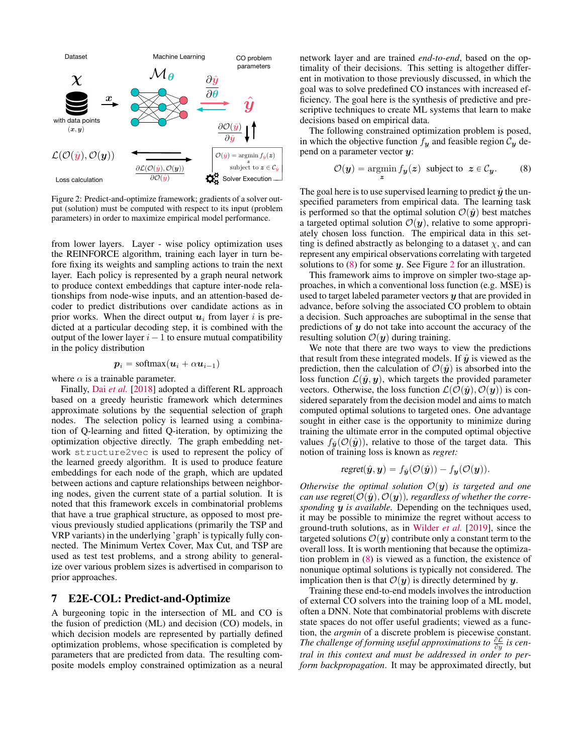<span id="page-5-1"></span>

Figure 2: Predict-and-optimize framework; gradients of a solver output (solution) must be computed with respect to its input (problem parameters) in order to maximize empirical model performance.

from lower layers. Layer - wise policy optimization uses the REINFORCE algorithm, training each layer in turn before fixing its weights and sampling actions to train the next layer. Each policy is represented by a graph neural network to produce context embeddings that capture inter-node relationships from node-wise inputs, and an attention-based decoder to predict distributions over candidate actions as in prior works. When the direct output  $u_i$  from layer i is predicted at a particular decoding step, it is combined with the output of the lower layer  $i - 1$  to ensure mutual compatibility in the policy distribution

$$
\boldsymbol{p}_i = \text{softmax}(\boldsymbol{u}_i + \alpha \boldsymbol{u}_{i-1})
$$

where  $\alpha$  is a trainable parameter.

Finally, Dai *[et al.](#page-8-19)* [\[2018\]](#page-8-19) adopted a different RL approach based on a greedy heuristic framework which determines approximate solutions by the sequential selection of graph nodes. The selection policy is learned using a combination of Q-learning and fitted Q-iteration, by optimizing the optimization objective directly. The graph embedding network structure2vec is used to represent the policy of the learned greedy algorithm. It is used to produce feature embeddings for each node of the graph, which are updated between actions and capture relationships between neighboring nodes, given the current state of a partial solution. It is noted that this framework excels in combinatorial problems that have a true graphical structure, as opposed to most previous previously studied applications (primarily the TSP and VRP variants) in the underlying 'graph' is typically fully connected. The Minimum Vertex Cover, Max Cut, and TSP are used as test test problems, and a strong ability to generalize over various problem sizes is advertised in comparison to prior approaches.

### 7 E2E-COL: Predict-and-Optimize

A burgeoning topic in the intersection of ML and CO is the fusion of prediction (ML) and decision (CO) models, in which decision models are represented by partially defined optimization problems, whose specification is completed by parameters that are predicted from data. The resulting composite models employ constrained optimization as a neural network layer and are trained *end-to-end*, based on the optimality of their decisions. This setting is altogether different in motivation to those previously discussed, in which the goal was to solve predefined CO instances with increased efficiency. The goal here is the synthesis of predictive and prescriptive techniques to create ML systems that learn to make decisions based on empirical data.

The following constrained optimization problem is posed, in which the objective function  $f_y$  and feasible region  $C_y$  depend on a parameter vector y:

<span id="page-5-0"></span>
$$
\mathcal{O}(\mathbf{y}) = \operatorname*{argmin}_{\mathbf{z}} f_{\mathbf{y}}(\mathbf{z}) \text{ subject to } \mathbf{z} \in \mathcal{C}_{\mathbf{y}}.
$$
 (8)

The goal here is to use supervised learning to predict  $\hat{y}$  the unspecified parameters from empirical data. The learning task is performed so that the optimal solution  $\mathcal{O}(\hat{\mathbf{y}})$  best matches a targeted optimal solution  $\mathcal{O}(\mathbf{y})$ , relative to some appropriately chosen loss function. The empirical data in this setting is defined abstractly as belonging to a dataset  $\chi$ , and can represent any empirical observations correlating with targeted solutions to  $(8)$  for some y. See Figure [2](#page-5-1) for an illustration.

This framework aims to improve on simpler two-stage approaches, in which a conventional loss function (e.g. MSE) is used to target labeled parameter vectors  $y$  that are provided in advance, before solving the associated CO problem to obtain a decision. Such approaches are suboptimal in the sense that predictions of  $y$  do not take into account the accuracy of the resulting solution  $\mathcal{O}(\mathbf{y})$  during training.

We note that there are two ways to view the predictions that result from these integrated models. If  $\hat{y}$  is viewed as the prediction, then the calculation of  $\mathcal{O}(\hat{\mathbf{y}})$  is absorbed into the loss function  $\mathcal{L}(\hat{\mathbf{y}}, \mathbf{y})$ , which targets the provided parameter vectors. Otherwise, the loss function  $\mathcal{L}(\mathcal{O}(\hat{\mathbf{y}}), \mathcal{O}(\mathbf{y}))$  is considered separately from the decision model and aims to match computed optimal solutions to targeted ones. One advantage sought in either case is the opportunity to minimize during training the ultimate error in the computed optimal objective values  $f_{\hat{y}}(\mathcal{O}(\hat{y}))$ , relative to those of the target data. This notion of training loss is known as *regret:*

$$
regret(\hat{\boldsymbol{y}}, \boldsymbol{y}) = f_{\hat{\boldsymbol{y}}}(\mathcal{O}(\hat{\boldsymbol{y}})) - f_{\boldsymbol{y}}(\mathcal{O}(\boldsymbol{y})).
$$

*Otherwise the optimal solution*  $\mathcal{O}(\mathbf{y})$  *is targeted and one can use regret*( $\mathcal{O}(\hat{\mathbf{y}}), \mathcal{O}(\mathbf{y})$ ), regardless of whether the corre*sponding* y *is available.* Depending on the techniques used, it may be possible to minimize the regret without access to ground-truth solutions, as in [Wilder](#page-9-22) *et al.* [\[2019\]](#page-9-22), since the targeted solutions  $\mathcal{O}(y)$  contribute only a constant term to the overall loss. It is worth mentioning that because the optimization problem in [\(8\)](#page-5-0) is viewed as a function, the existence of nonunique optimal solutions is typically not considered. The implication then is that  $\mathcal{O}(y)$  is directly determined by y.

Training these end-to-end models involves the introduction of external CO solvers into the training loop of a ML model, often a DNN. Note that combinatorial problems with discrete state spaces do not offer useful gradients; viewed as a function, the *argmin* of a discrete problem is piecewise constant. The challenge of forming useful approximations to  $\frac{\partial \mathcal{L}}{\partial y}$  is cen*tral in this context and must be addressed in order to perform backpropagation*. It may be approximated directly, but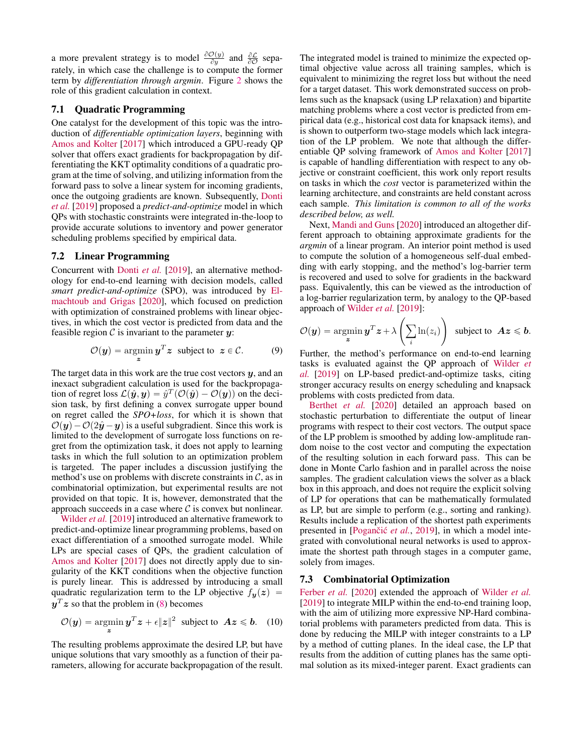a more prevalent strategy is to model  $\frac{\partial O(y)}{\partial y}$  and  $\frac{\partial \mathcal{L}}{\partial \mathcal{O}}$  separately, in which case the challenge is to compute the former term by *differentiation through argmin*. Figure [2](#page-5-1) shows the role of this gradient calculation in context.

### 7.1 Quadratic Programming

One catalyst for the development of this topic was the introduction of *differentiable optimization layers*, beginning with [Amos and Kolter](#page-8-20) [\[2017\]](#page-8-20) which introduced a GPU-ready QP solver that offers exact gradients for backpropagation by differentiating the KKT optimality conditions of a quadratic program at the time of solving, and utilizing information from the forward pass to solve a linear system for incoming gradients, once the outgoing gradients are known. Subsequently, [Donti](#page-8-21) *[et al.](#page-8-21)* [\[2019\]](#page-8-21) proposed a *predict-and-optimize* model in which QPs with stochastic constraints were integrated in-the-loop to provide accurate solutions to inventory and power generator scheduling problems specified by empirical data.

#### 7.2 Linear Programming

Concurrent with [Donti](#page-8-21) *et al.* [\[2019\]](#page-8-21), an alternative methodology for end-to-end learning with decision models, called *smart predict-and-optimize* (SPO), was introduced by [El](#page-8-22)[machtoub and Grigas](#page-8-22) [\[2020\]](#page-8-22), which focused on prediction with optimization of constrained problems with linear objectives, in which the cost vector is predicted from data and the feasible region  $\mathcal C$  is invariant to the parameter  $\mathbf y$ :

$$
\mathcal{O}(\boldsymbol{y}) = \operatorname*{argmin}_{\boldsymbol{z}} \boldsymbol{y}^T \boldsymbol{z} \text{ subject to } \boldsymbol{z} \in \mathcal{C}.
$$
 (9)

The target data in this work are the true cost vectors  $y$ , and an inexact subgradient calculation is used for the backpropagation of regret loss  $\mathcal{L}(\hat{\mathbf{y}}, \mathbf{y}) = \hat{y}^T(\mathcal{O}(\hat{\mathbf{y}}) - \mathcal{O}(\mathbf{y}))$  on the decision task, by first defining a convex surrogate upper bound on regret called the *SPO+loss*, for which it is shown that  $\mathcal{O}(\mathbf{y}) - \mathcal{O}(2\hat{\mathbf{y}} - \mathbf{y})$  is a useful subgradient. Since this work is limited to the development of surrogate loss functions on regret from the optimization task, it does not apply to learning tasks in which the full solution to an optimization problem is targeted. The paper includes a discussion justifying the method's use on problems with discrete constraints in  $\mathcal{C}$ , as in combinatorial optimization, but experimental results are not provided on that topic. It is, however, demonstrated that the approach succeeds in a case where  $\mathcal C$  is convex but nonlinear.

[Wilder](#page-9-22) *et al.* [\[2019\]](#page-9-22) introduced an alternative framework to predict-and-optimize linear programming problems, based on exact differentiation of a smoothed surrogate model. While LPs are special cases of QPs, the gradient calculation of [Amos and Kolter](#page-8-20) [\[2017\]](#page-8-20) does not directly apply due to singularity of the KKT conditions when the objective function is purely linear. This is addressed by introducing a small quadratic regularization term to the LP objective  $f_{\boldsymbol{y}}(z)$  =  $y^T z$  so that the problem in [\(8\)](#page-5-0) becomes

$$
\mathcal{O}(\boldsymbol{y}) = \operatorname*{argmin}_{\boldsymbol{z}} \boldsymbol{y}^T \boldsymbol{z} + \epsilon \|\boldsymbol{z}\|^2 \text{ subject to } \boldsymbol{A}\boldsymbol{z} \leq \boldsymbol{b}. \quad (10)
$$

The resulting problems approximate the desired LP, but have unique solutions that vary smoothly as a function of their parameters, allowing for accurate backpropagation of the result. The integrated model is trained to minimize the expected optimal objective value across all training samples, which is equivalent to minimizing the regret loss but without the need for a target dataset. This work demonstrated success on problems such as the knapsack (using LP relaxation) and bipartite matching problems where a cost vector is predicted from empirical data (e.g., historical cost data for knapsack items), and is shown to outperform two-stage models which lack integration of the LP problem. We note that although the differentiable QP solving framework of [Amos and Kolter](#page-8-20) [\[2017\]](#page-8-20) is capable of handling differentiation with respect to any objective or constraint coefficient, this work only report results on tasks in which the *cost* vector is parameterized within the learning architecture, and constraints are held constant across each sample. *This limitation is common to all of the works described below, as well.*

Next, [Mandi and Guns](#page-9-23) [\[2020\]](#page-9-23) introduced an altogether different approach to obtaining approximate gradients for the *argmin* of a linear program. An interior point method is used to compute the solution of a homogeneous self-dual embedding with early stopping, and the method's log-barrier term is recovered and used to solve for gradients in the backward pass. Equivalently, this can be viewed as the introduction of a log-barrier regularization term, by analogy to the QP-based approach of [Wilder](#page-9-22) *et al.* [\[2019\]](#page-9-22):

$$
\mathcal{O}(\boldsymbol{y}) = \operatorname*{argmin}_{\boldsymbol{z}} \boldsymbol{y}^T \boldsymbol{z} + \lambda \left(\sum_i \ln(z_i)\right) \text{ subject to } \boldsymbol{A}\boldsymbol{z} \leqslant \boldsymbol{b}.
$$

Further, the method's performance on end-to-end learning tasks is evaluated against the QP approach of [Wilder](#page-9-22) *et [al.](#page-9-22)* [\[2019\]](#page-9-22) on LP-based predict-and-optimize tasks, citing stronger accuracy results on energy scheduling and knapsack problems with costs predicted from data.

[Berthet](#page-8-23) *et al.* [\[2020\]](#page-8-23) detailed an approach based on stochastic perturbation to differentiate the output of linear programs with respect to their cost vectors. The output space of the LP problem is smoothed by adding low-amplitude random noise to the cost vector and computing the expectation of the resulting solution in each forward pass. This can be done in Monte Carlo fashion and in parallel across the noise samples. The gradient calculation views the solver as a black box in this approach, and does not require the explicit solving of LP for operations that can be mathematically formulated as LP, but are simple to perform (e.g., sorting and ranking). Results include a replication of the shortest path experiments presented in [Pogančić et al., [2019\]](#page-9-24), in which a model integrated with convolutional neural networks is used to approximate the shortest path through stages in a computer game, solely from images.

#### 7.3 Combinatorial Optimization

[Ferber](#page-8-24) *et al.* [\[2020\]](#page-8-24) extended the approach of [Wilder](#page-9-22) *et al.* [\[2019\]](#page-9-22) to integrate MILP within the end-to-end training loop, with the aim of utilizing more expressive NP-Hard combinatorial problems with parameters predicted from data. This is done by reducing the MILP with integer constraints to a LP by a method of cutting planes. In the ideal case, the LP that results from the addition of cutting planes has the same optimal solution as its mixed-integer parent. Exact gradients can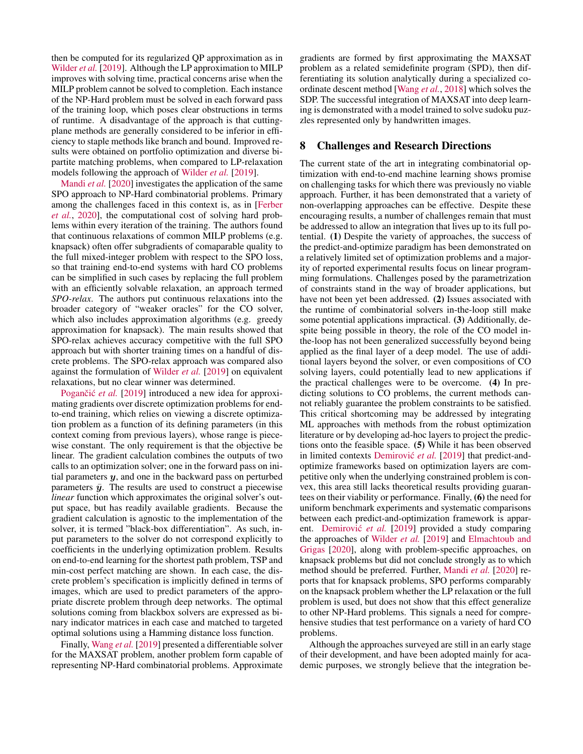then be computed for its regularized QP approximation as in [Wilder](#page-9-22) *et al.* [\[2019\]](#page-9-22). Although the LP approximation to MILP improves with solving time, practical concerns arise when the MILP problem cannot be solved to completion. Each instance of the NP-Hard problem must be solved in each forward pass of the training loop, which poses clear obstructions in terms of runtime. A disadvantage of the approach is that cuttingplane methods are generally considered to be inferior in efficiency to staple methods like branch and bound. Improved results were obtained on portfolio optimization and diverse bipartite matching problems, when compared to LP-relaxation models following the approach of [Wilder](#page-9-22) *et al.* [\[2019\]](#page-9-22).

[Mandi](#page-9-25) *et al.* [\[2020\]](#page-9-25) investigates the application of the same SPO approach to NP-Hard combinatorial problems. Primary among the challenges faced in this context is, as in [\[Ferber](#page-8-24) *[et al.](#page-8-24)*, [2020\]](#page-8-24), the computational cost of solving hard problems within every iteration of the training. The authors found that continuous relaxations of common MILP problems (e.g. knapsack) often offer subgradients of comaparable quality to the full mixed-integer problem with respect to the SPO loss, so that training end-to-end systems with hard CO problems can be simplified in such cases by replacing the full problem with an efficiently solvable relaxation, an approach termed *SPO-relax*. The authors put continuous relaxations into the broader category of "weaker oracles" for the CO solver, which also includes approximation algorithms (e.g. greedy approximation for knapsack). The main results showed that SPO-relax achieves accuracy competitive with the full SPO approach but with shorter training times on a handful of discrete problems. The SPO-relax approach was compared also against the formulation of [Wilder](#page-9-22) *et al.* [\[2019\]](#page-9-22) on equivalent relaxations, but no clear winner was determined.

Pogančić et al. [\[2019\]](#page-9-24) introduced a new idea for approximating gradients over discrete optimization problems for endto-end training, which relies on viewing a discrete optimization problem as a function of its defining parameters (in this context coming from previous layers), whose range is piecewise constant. The only requirement is that the objective be linear. The gradient calculation combines the outputs of two calls to an optimization solver; one in the forward pass on initial parameters  $y$ , and one in the backward pass on perturbed parameters  $\bar{y}$ . The results are used to construct a piecewise *linear* function which approximates the original solver's output space, but has readily available gradients. Because the gradient calculation is agnostic to the implementation of the solver, it is termed "black-box differentiation". As such, input parameters to the solver do not correspond explicitly to coefficients in the underlying optimization problem. Results on end-to-end learning for the shortest path problem, TSP and min-cost perfect matching are shown. In each case, the discrete problem's specification is implicitly defined in terms of images, which are used to predict parameters of the appropriate discrete problem through deep networks. The optimal solutions coming from blackbox solvers are expressed as binary indicator matrices in each case and matched to targeted optimal solutions using a Hamming distance loss function.

Finally, [Wang](#page-9-26) *et al.* [\[2019\]](#page-9-26) presented a differentiable solver for the MAXSAT problem, another problem form capable of representing NP-Hard combinatorial problems. Approximate gradients are formed by first approximating the MAXSAT problem as a related semidefinite program (SPD), then differentiating its solution analytically during a specialized coordinate descent method [\[Wang](#page-9-27) *et al.*, [2018\]](#page-9-27) which solves the SDP. The successful integration of MAXSAT into deep learning is demonstrated with a model trained to solve sudoku puzzles represented only by handwritten images.

# 8 Challenges and Research Directions

The current state of the art in integrating combinatorial optimization with end-to-end machine learning shows promise on challenging tasks for which there was previously no viable approach. Further, it has been demonstrated that a variety of non-overlapping approaches can be effective. Despite these encouraging results, a number of challenges remain that must be addressed to allow an integration that lives up to its full potential. (1) Despite the variety of approaches, the success of the predict-and-optimize paradigm has been demonstrated on a relatively limited set of optimization problems and a majority of reported experimental results focus on linear programming formulations. Challenges posed by the parametrization of constraints stand in the way of broader applications, but have not been yet been addressed. (2) Issues associated with the runtime of combinatorial solvers in-the-loop still make some potential applications impractical. (3) Additionally, despite being possible in theory, the role of the CO model inthe-loop has not been generalized successfully beyond being applied as the final layer of a deep model. The use of additional layers beyond the solver, or even compositions of CO solving layers, could potentially lead to new applications if the practical challenges were to be overcome. (4) In predicting solutions to CO problems, the current methods cannot reliably guarantee the problem constraints to be satisfied. This critical shortcoming may be addressed by integrating ML approaches with methods from the robust optimization literature or by developing ad-hoc layers to project the predictions onto the feasible space. (5) While it has been observed in limited contexts Demirovic et al. [\[2019\]](#page-8-25) that predict-andoptimize frameworks based on optimization layers are competitive only when the underlying constrained problem is convex, this area still lacks theoretical results providing guarantees on their viability or performance. Finally, (6) the need for uniform benchmark experiments and systematic comparisons between each predict-and-optimization framework is appar-ent. Demirović et al. [\[2019\]](#page-8-25) provided a study comparing the approaches of [Wilder](#page-9-22) *et al.* [\[2019\]](#page-9-22) and [Elmachtoub and](#page-8-22) [Grigas](#page-8-22) [\[2020\]](#page-8-22), along with problem-specific approaches, on knapsack problems but did not conclude strongly as to which method should be preferred. Further, [Mandi](#page-9-25) *et al.* [\[2020\]](#page-9-25) reports that for knapsack problems, SPO performs comparably on the knapsack problem whether the LP relaxation or the full problem is used, but does not show that this effect generalize to other NP-Hard problems. This signals a need for comprehensive studies that test performance on a variety of hard CO problems.

Although the approaches surveyed are still in an early stage of their development, and have been adopted mainly for academic purposes, we strongly believe that the integration be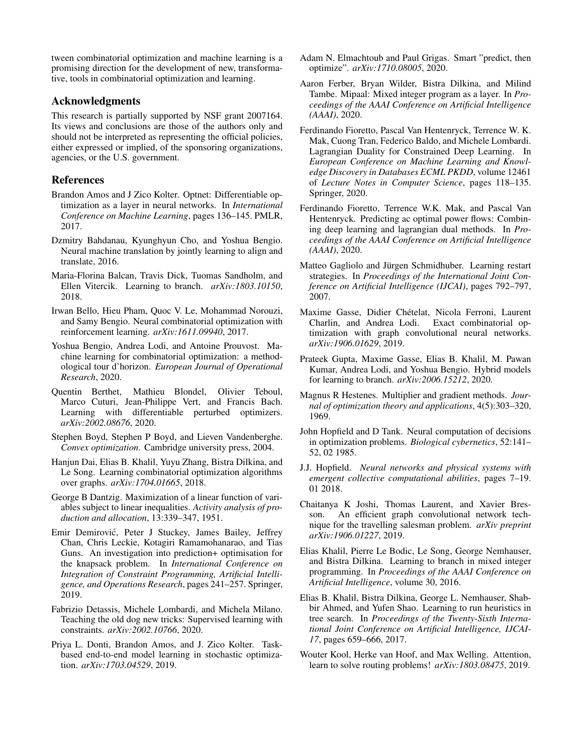tween combinatorial optimization and machine learning is a promising direction for the development of new, transformative, tools in combinatorial optimization and learning.

# Acknowledgments

This research is partially supported by NSF grant 2007164. Its views and conclusions are those of the authors only and should not be interpreted as representing the official policies, either expressed or implied, of the sponsoring organizations, agencies, or the U.S. government.

# References

- <span id="page-8-20"></span>Brandon Amos and J Zico Kolter. Optnet: Differentiable optimization as a layer in neural networks. In *International Conference on Machine Learning*, pages 136–145. PMLR, 2017.
- <span id="page-8-4"></span>Dzmitry Bahdanau, Kyunghyun Cho, and Yoshua Bengio. Neural machine translation by jointly learning to align and translate, 2016.
- <span id="page-8-8"></span>Maria-Florina Balcan, Travis Dick, Tuomas Sandholm, and Ellen Vitercik. Learning to branch. *arXiv:1803.10150*, 2018.
- <span id="page-8-13"></span>Irwan Bello, Hieu Pham, Quoc V. Le, Mohammad Norouzi, and Samy Bengio. Neural combinatorial optimization with reinforcement learning. *arXiv:1611.09940*, 2017.
- <span id="page-8-0"></span>Yoshua Bengio, Andrea Lodi, and Antoine Prouvost. Machine learning for combinatorial optimization: a methodological tour d'horizon. *European Journal of Operational Research*, 2020.
- <span id="page-8-23"></span>Quentin Berthet, Mathieu Blondel, Olivier Teboul, Marco Cuturi, Jean-Philippe Vert, and Francis Bach. Learning with differentiable perturbed optimizers. *arXiv:2002.08676*, 2020.
- <span id="page-8-1"></span>Stephen Boyd, Stephen P Boyd, and Lieven Vandenberghe. *Convex optimization*. Cambridge university press, 2004.
- <span id="page-8-19"></span>Hanjun Dai, Elias B. Khalil, Yuyu Zhang, Bistra Dilkina, and Le Song. Learning combinatorial optimization algorithms over graphs. *arXiv:1704.01665*, 2018.
- <span id="page-8-2"></span>George B Dantzig. Maximization of a linear function of variables subject to linear inequalities. *Activity analysis of production and allocation*, 13:339–347, 1951.
- <span id="page-8-25"></span>Emir Demirovic, Peter J Stuckey, James Bailey, Jeffrey ´ Chan, Chris Leckie, Kotagiri Ramamohanarao, and Tias Guns. An investigation into prediction+ optimisation for the knapsack problem. In *International Conference on Integration of Constraint Programming, Artificial Intelligence, and Operations Research*, pages 241–257. Springer, 2019.
- <span id="page-8-16"></span>Fabrizio Detassis, Michele Lombardi, and Michela Milano. Teaching the old dog new tricks: Supervised learning with constraints. *arXiv:2002.10766*, 2020.
- <span id="page-8-21"></span>Priya L. Donti, Brandon Amos, and J. Zico Kolter. Taskbased end-to-end model learning in stochastic optimization. *arXiv:1703.04529*, 2019.
- <span id="page-8-22"></span>Adam N. Elmachtoub and Paul Grigas. Smart "predict, then optimize". *arXiv:1710.08005*, 2020.
- <span id="page-8-24"></span>Aaron Ferber, Bryan Wilder, Bistra Dilkina, and Milind Tambe. Mipaal: Mixed integer program as a layer. In *Proceedings of the AAAI Conference on Artificial Intelligence (AAAI)*, 2020.
- <span id="page-8-15"></span>Ferdinando Fioretto, Pascal Van Hentenryck, Terrence W. K. Mak, Cuong Tran, Federico Baldo, and Michele Lombardi. Lagrangian Duality for Constrained Deep Learning. In *European Conference on Machine Learning and Knowledge Discovery in Databases ECML PKDD*, volume 12461 of *Lecture Notes in Computer Science*, pages 118–135. Springer, 2020.
- <span id="page-8-14"></span>Ferdinando Fioretto, Terrence W.K. Mak, and Pascal Van Hentenryck. Predicting ac optimal power flows: Combining deep learning and lagrangian dual methods. In *Proceedings of the AAAI Conference on Artificial Intelligence (AAAI)*, 2020.
- <span id="page-8-10"></span>Matteo Gagliolo and Jürgen Schmidhuber. Learning restart strategies. In *Proceedings of the International Joint Conference on Artificial Intelligence (IJCAI)*, pages 792–797, 2007.
- <span id="page-8-6"></span>Maxime Gasse, Didier Chételat, Nicola Ferroni, Laurent Charlin, and Andrea Lodi. Exact combinatorial optimization with graph convolutional neural networks. *arXiv:1906.01629*, 2019.
- <span id="page-8-7"></span>Prateek Gupta, Maxime Gasse, Elias B. Khalil, M. Pawan Kumar, Andrea Lodi, and Yoshua Bengio. Hybrid models for learning to branch. *arXiv:2006.15212*, 2020.
- <span id="page-8-3"></span>Magnus R Hestenes. Multiplier and gradient methods. *Journal of optimization theory and applications*, 4(5):303–320, 1969.
- <span id="page-8-11"></span>John Hopfield and D Tank. Neural computation of decisions in optimization problems. *Biological cybernetics*, 52:141– 52, 02 1985.
- <span id="page-8-12"></span>J.J. Hopfield. *Neural networks and physical systems with emergent collective computational abilities*, pages 7–19. 01 2018.
- <span id="page-8-17"></span>Chaitanya K Joshi, Thomas Laurent, and Xavier Bresson. An efficient graph convolutional network technique for the travelling salesman problem. *arXiv preprint arXiv:1906.01227*, 2019.
- <span id="page-8-5"></span>Elias Khalil, Pierre Le Bodic, Le Song, George Nemhauser, and Bistra Dilkina. Learning to branch in mixed integer programming. In *Proceedings of the AAAI Conference on Artificial Intelligence*, volume 30, 2016.
- <span id="page-8-9"></span>Elias B. Khalil, Bistra Dilkina, George L. Nemhauser, Shabbir Ahmed, and Yufen Shao. Learning to run heuristics in tree search. In *Proceedings of the Twenty-Sixth International Joint Conference on Artificial Intelligence, IJCAI-17*, pages 659–666, 2017.
- <span id="page-8-18"></span>Wouter Kool, Herke van Hoof, and Max Welling. Attention, learn to solve routing problems! *arXiv:1803.08475*, 2019.